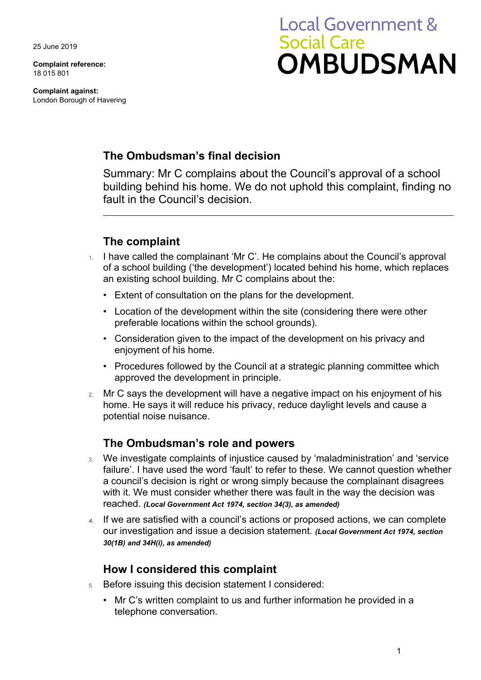25 June 2019

**Complaint reference:**  18 015 801

**Complaint against:**  London Borough of Havering

# **Local Government & Social Care OMBUDSMAN**

## **The Ombudsman's final decision**

Summary: Mr C complains about the Council's approval of a school building behind his home. We do not uphold this complaint, finding no fault in the Council's decision.

## **The complaint**

- 1. I have called the complainant 'Mr C'. He complains about the Council's approval of a school building ('the development') located behind his home, which replaces an existing school building. Mr C complains about the:
	- Extent of consultation on the plans for the development.
	- Location of the development within the site (considering there were other preferable locations within the school grounds).
	- Consideration given to the impact of the development on his privacy and enjoyment of his home.
	- Procedures followed by the Council at a strategic planning committee which approved the development in principle.
- home. He says it will reduce his privacy, reduce daylight levels and cause a 2. Mr C says the development will have a negative impact on his enjoyment of his potential noise nuisance.

## **The Ombudsman's role and powers**

- 3. We investigate complaints of injustice caused by 'maladministration' and 'service failure'. I have used the word 'fault' to refer to these. We cannot question whether a council's decision is right or wrong simply because the complainant disagrees with it. We must consider whether there was fault in the way the decision was reached. *(Local Government Act 1974, section 34(3), as amended)*
- our investigation and issue a decision statement. *(Local Government Act 1974, section 4.* If we are satisfied with a council's actions or proposed actions, we can complete *30(1B) and 34H(i), as amended)*

## **How I considered this complaint**

- 5. Before issuing this decision statement I considered:
	- Mr C's written complaint to us and further information he provided in a telephone conversation.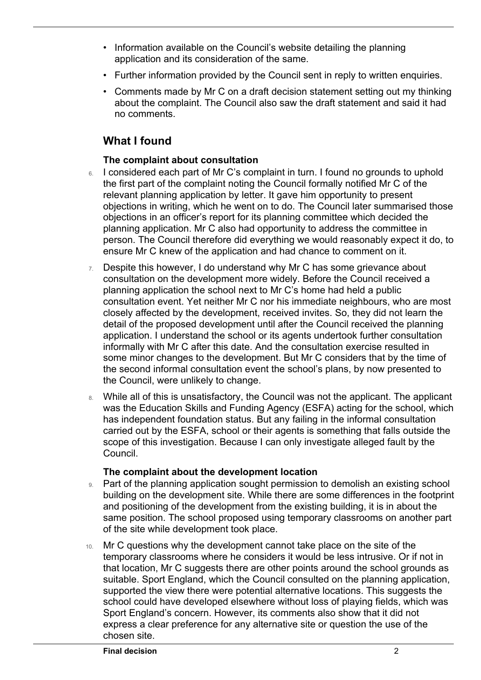- Information available on the Council's website detailing the planning application and its consideration of the same.
- Further information provided by the Council sent in reply to written enquiries.
- about the complaint. The Council also saw the draft statement and said it had • Comments made by Mr C on a draft decision statement setting out my thinking no comments.

## **What I found**

 $\overline{a}$ 

### **The complaint about consultation**

- 6. I considered each part of Mr C's complaint in turn. I found no grounds to uphold the first part of the complaint noting the Council formally notified Mr C of the relevant planning application by letter. It gave him opportunity to present objections in writing, which he went on to do. The Council later summarised those objections in an officer's report for its planning committee which decided the planning application. Mr C also had opportunity to address the committee in person. The Council therefore did everything we would reasonably expect it do, to ensure Mr C knew of the application and had chance to comment on it.
- $7.$  Despite this however, I do understand why Mr C has some grievance about closely affected by the development, received invites. So, they did not learn the detail of the proposed development until after the Council received the planning application. I understand the school or its agents undertook further consultation consultation on the development more widely. Before the Council received a planning application the school next to Mr C's home had held a public consultation event. Yet neither Mr C nor his immediate neighbours, who are most informally with Mr C after this date. And the consultation exercise resulted in some minor changes to the development. But Mr C considers that by the time of the second informal consultation event the school's plans, by now presented to the Council, were unlikely to change.
- 8. While all of this is unsatisfactory, the Council was not the applicant. The applicant was the Education Skills and Funding Agency (ESFA) acting for the school, which has independent foundation status. But any failing in the informal consultation carried out by the ESFA, school or their agents is something that falls outside the scope of this investigation. Because I can only investigate alleged fault by the Council.

#### **The complaint about the development location**

- 9. Part of the planning application sought permission to demolish an existing school building on the development site. While there are some differences in the footprint and positioning of the development from the existing building, it is in about the same position. The school proposed using temporary classrooms on another part of the site while development took place.
- 10. Mr C questions why the development cannot take place on the site of the Sport England's concern. However, its comments also show that it did not express a clear preference for any alternative site or question the use of the chosen site. temporary classrooms where he considers it would be less intrusive. Or if not in that location, Mr C suggests there are other points around the school grounds as suitable. Sport England, which the Council consulted on the planning application, supported the view there were potential alternative locations. This suggests the school could have developed elsewhere without loss of playing fields, which was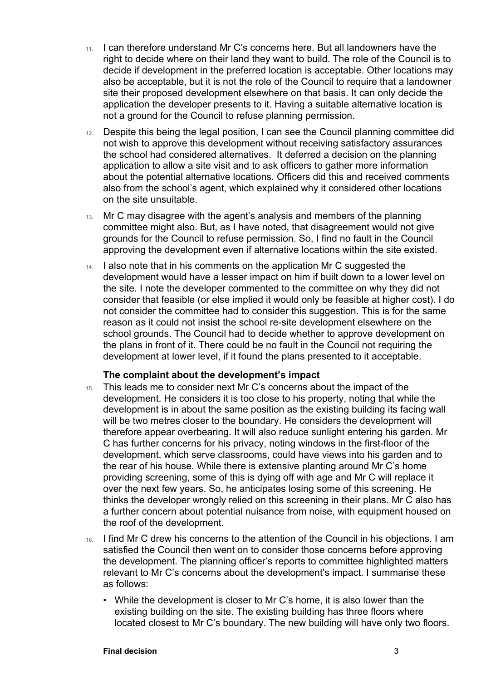- application the developer presents to it. Having a suitable alternative location is 11. I can therefore understand Mr C's concerns here. But all landowners have the right to decide where on their land they want to build. The role of the Council is to decide if development in the preferred location is acceptable. Other locations may also be acceptable, but it is not the role of the Council to require that a landowner site their proposed development elsewhere on that basis. It can only decide the not a ground for the Council to refuse planning permission.
- 12. Despite this being the legal position, I can see the Council planning committee did not wish to approve this development without receiving satisfactory assurances the school had considered alternatives. It deferred a decision on the planning application to allow a site visit and to ask officers to gather more information about the potential alternative locations. Officers did this and received comments also from the school's agent, which explained why it considered other locations on the site unsuitable.
- 13. Mr C may disagree with the agent's analysis and members of the planning committee might also. But, as I have noted, that disagreement would not give grounds for the Council to refuse permission. So, I find no fault in the Council approving the development even if alternative locations within the site existed.
- 14. I also note that in his comments on the application Mr C suggested the development would have a lesser impact on him if built down to a lower level on the site. I note the developer commented to the committee on why they did not consider that feasible (or else implied it would only be feasible at higher cost). I do not consider the committee had to consider this suggestion. This is for the same reason as it could not insist the school re-site development elsewhere on the school grounds. The Council had to decide whether to approve development on the plans in front of it. There could be no fault in the Council not requiring the development at lower level, if it found the plans presented to it acceptable.

#### **The complaint about the development's impact**

- 15. This leads me to consider next Mr C's concerns about the impact of the development. He considers it is too close to his property, noting that while the development is in about the same position as the existing building its facing wall will be two metres closer to the boundary. He considers the development will therefore appear overbearing. It will also reduce sunlight entering his garden. Mr C has further concerns for his privacy, noting windows in the first-floor of the development, which serve classrooms, could have views into his garden and to the rear of his house. While there is extensive planting around Mr C's home providing screening, some of this is dying off with age and Mr C will replace it over the next few years. So, he anticipates losing some of this screening. He thinks the developer wrongly relied on this screening in their plans. Mr C also has a further concern about potential nuisance from noise, with equipment housed on the roof of the development.
- 16. I find Mr C drew his concerns to the attention of the Council in his objections. I am satisfied the Council then went on to consider those concerns before approving the development. The planning officer's reports to committee highlighted matters relevant to Mr C's concerns about the development's impact. I summarise these as follows:
	- located closest to Mr C's boundary. The new building will have only two floors. • While the development is closer to Mr C's home, it is also lower than the existing building on the site. The existing building has three floors where

 $\overline{a}$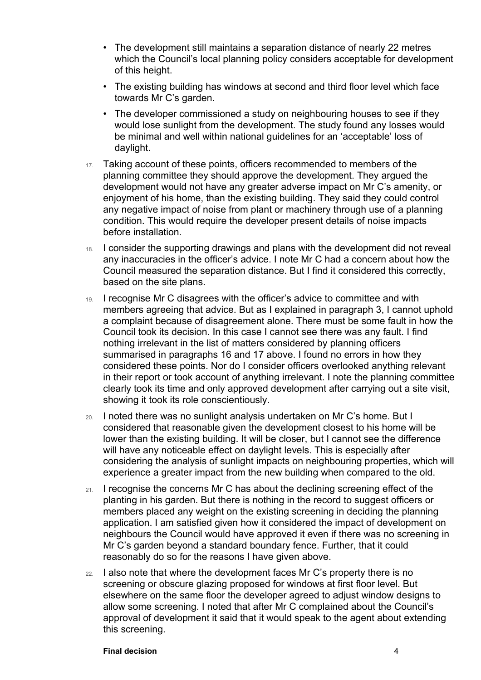- which the Council's local planning policy considers acceptable for development • The development still maintains a separation distance of nearly 22 metres of this height.
- The existing building has windows at second and third floor level which face towards Mr C's garden.
- The developer commissioned a study on neighbouring houses to see if they would lose sunlight from the development. The study found any losses would be minimal and well within national guidelines for an 'acceptable' loss of daylight.
- planning committee they should approve the development. They argued the any negative impact of noise from plant or machinery through use of a planning 17. Taking account of these points, officers recommended to members of the development would not have any greater adverse impact on Mr C's amenity, or enjoyment of his home, than the existing building. They said they could control condition. This would require the developer present details of noise impacts before installation.
- 18. I consider the supporting drawings and plans with the development did not reveal Council measured the separation distance. But I find it considered this correctly, any inaccuracies in the officer's advice. I note Mr C had a concern about how the based on the site plans.
- nothing irrelevant in the list of matters considered by planning officers summarised in paragraphs 16 and 17 above. I found no errors in how they in their report or took account of anything irrelevant. I note the planning committee 19. I recognise Mr C disagrees with the officer's advice to committee and with members agreeing that advice. But as I explained in paragraph 3, I cannot uphold a complaint because of disagreement alone. There must be some fault in how the Council took its decision. In this case I cannot see there was any fault. I find considered these points. Nor do I consider officers overlooked anything relevant clearly took its time and only approved development after carrying out a site visit, showing it took its role conscientiously.
- considered that reasonable given the development closest to his home will be lower than the existing building. It will be closer, but I cannot see the difference 20. I noted there was no sunlight analysis undertaken on Mr C's home. But I will have any noticeable effect on daylight levels. This is especially after considering the analysis of sunlight impacts on neighbouring properties, which will experience a greater impact from the new building when compared to the old.
- application. I am satisfied given how it considered the impact of development on 21. I recognise the concerns Mr C has about the declining screening effect of the planting in his garden. But there is nothing in the record to suggest officers or members placed any weight on the existing screening in deciding the planning neighbours the Council would have approved it even if there was no screening in Mr C's garden beyond a standard boundary fence. Further, that it could reasonably do so for the reasons I have given above.
- 22. I also note that where the development faces Mr C's property there is no screening or obscure glazing proposed for windows at first floor level. But elsewhere on the same floor the developer agreed to adjust window designs to allow some screening. I noted that after Mr C complained about the Council's approval of development it said that it would speak to the agent about extending this screening.

 $\overline{a}$